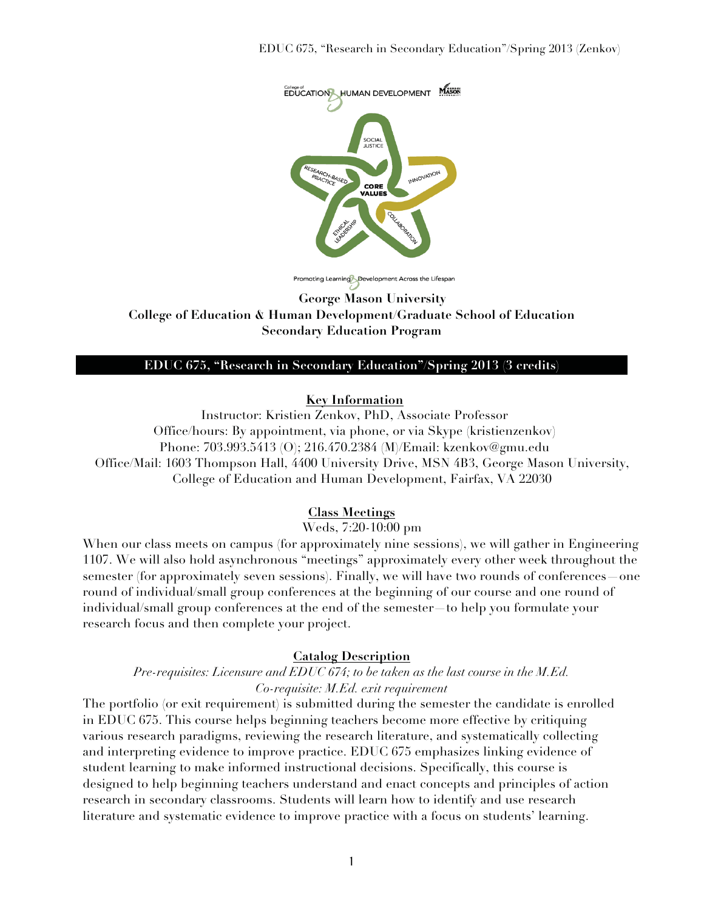

Promoting Learning Development Across the Lifespan

**George Mason University College of Education & Human Development/Graduate School of Education Secondary Education Program** 

#### **EDUC 675, "Research in Secondary Education"/Spring 2013 (3 credits)**

### **Key Information**

Instructor: Kristien Zenkov, PhD, Associate Professor Office/hours: By appointment, via phone, or via Skype (kristienzenkov) Phone: 703.993.5413 (O); 216.470.2384 (M)/Email: kzenkov@gmu.edu Office/Mail: 1603 Thompson Hall, 4400 University Drive, MSN 4B3, George Mason University, College of Education and Human Development, Fairfax, VA 22030

## **Class Meetings**

Weds, 7:20-10:00 pm

When our class meets on campus (for approximately nine sessions), we will gather in Engineering 1107. We will also hold asynchronous "meetings" approximately every other week throughout the semester (for approximately seven sessions). Finally, we will have two rounds of conferences—one round of individual/small group conferences at the beginning of our course and one round of individual/small group conferences at the end of the semester—to help you formulate your research focus and then complete your project.

### **Catalog Description**

## *Pre-requisites: Licensure and EDUC 674; to be taken as the last course in the M.Ed. Co-requisite: M.Ed. exit requirement*

The portfolio (or exit requirement) is submitted during the semester the candidate is enrolled in EDUC 675. This course helps beginning teachers become more effective by critiquing various research paradigms, reviewing the research literature, and systematically collecting and interpreting evidence to improve practice. EDUC 675 emphasizes linking evidence of student learning to make informed instructional decisions. Specifically, this course is designed to help beginning teachers understand and enact concepts and principles of action research in secondary classrooms. Students will learn how to identify and use research literature and systematic evidence to improve practice with a focus on students' learning.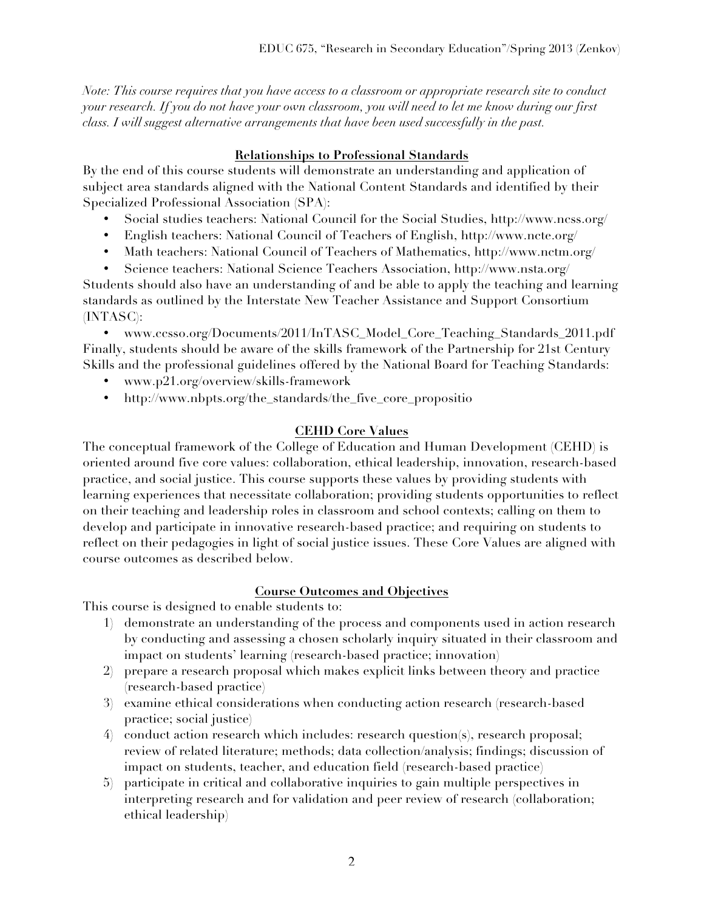*Note: This course requires that you have access to a classroom or appropriate research site to conduct your research. If you do not have your own classroom, you will need to let me know during our first class. I will suggest alternative arrangements that have been used successfully in the past.* 

## **Relationships to Professional Standards**

By the end of this course students will demonstrate an understanding and application of subject area standards aligned with the National Content Standards and identified by their Specialized Professional Association (SPA):

- Social studies teachers: National Council for the Social Studies, http://www.ncss.org/
- English teachers: National Council of Teachers of English, http://www.ncte.org/
- Math teachers: National Council of Teachers of Mathematics, http://www.nctm.org/
- Science teachers: National Science Teachers Association, http://www.nsta.org/

Students should also have an understanding of and be able to apply the teaching and learning standards as outlined by the Interstate New Teacher Assistance and Support Consortium (INTASC):

• www.ccsso.org/Documents/2011/InTASC\_Model\_Core\_Teaching\_Standards\_2011.pdf Finally, students should be aware of the skills framework of the Partnership for 21st Century Skills and the professional guidelines offered by the National Board for Teaching Standards:

- www.p21.org/overview/skills-framework
- http://www.nbpts.org/the\_standards/the\_five\_core\_propositio

## **CEHD Core Values**

The conceptual framework of the College of Education and Human Development (CEHD) is oriented around five core values: collaboration, ethical leadership, innovation, research-based practice, and social justice. This course supports these values by providing students with learning experiences that necessitate collaboration; providing students opportunities to reflect on their teaching and leadership roles in classroom and school contexts; calling on them to develop and participate in innovative research-based practice; and requiring on students to reflect on their pedagogies in light of social justice issues. These Core Values are aligned with course outcomes as described below.

## **Course Outcomes and Objectives**

This course is designed to enable students to:

- 1) demonstrate an understanding of the process and components used in action research by conducting and assessing a chosen scholarly inquiry situated in their classroom and impact on students' learning (research-based practice; innovation)
- 2) prepare a research proposal which makes explicit links between theory and practice (research-based practice)
- 3) examine ethical considerations when conducting action research (research-based practice; social justice)
- 4) conduct action research which includes: research question(s), research proposal; review of related literature; methods; data collection/analysis; findings; discussion of impact on students, teacher, and education field (research-based practice)
- 5) participate in critical and collaborative inquiries to gain multiple perspectives in interpreting research and for validation and peer review of research (collaboration; ethical leadership)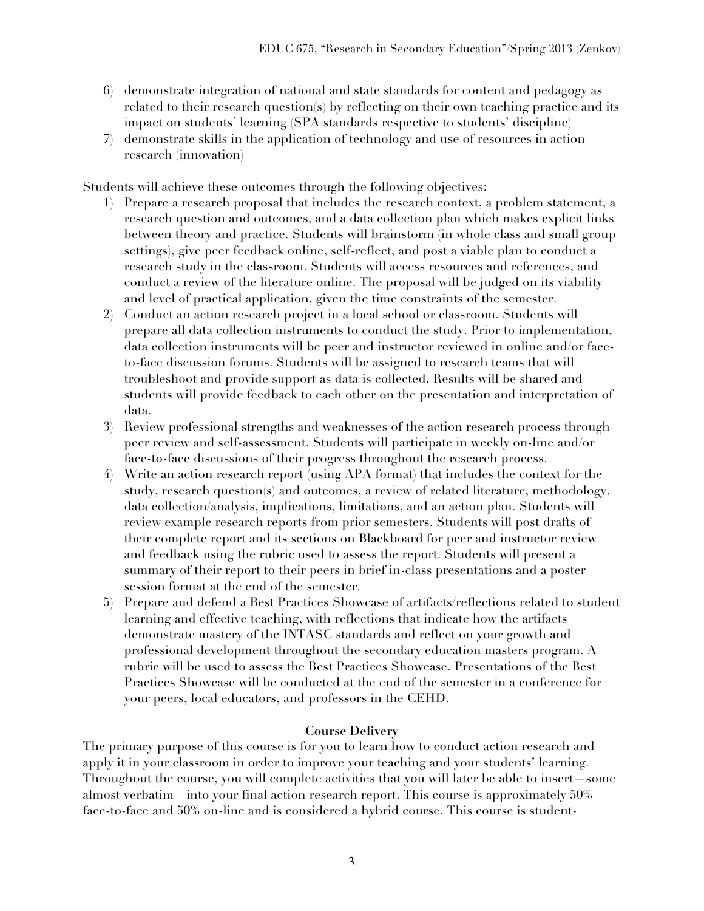- 6) demonstrate integration of national and state standards for content and pedagogy as related to their research question(s) by reflecting on their own teaching practice and its impact on students' learning (SPA standards respective to students' discipline)
- 7) demonstrate skills in the application of technology and use of resources in action research (innovation)

Students will achieve these outcomes through the following objectives:

- 1) Prepare a research proposal that includes the research context, a problem statement, a research question and outcomes, and a data collection plan which makes explicit links between theory and practice. Students will brainstorm (in whole class and small group settings), give peer feedback online, self-reflect, and post a viable plan to conduct a research study in the classroom. Students will access resources and references, and conduct a review of the literature online. The proposal will be judged on its viability and level of practical application, given the time constraints of the semester.
- 2) Conduct an action research project in a local school or classroom. Students will prepare all data collection instruments to conduct the study. Prior to implementation, data collection instruments will be peer and instructor reviewed in online and/or faceto-face discussion forums. Students will be assigned to research teams that will troubleshoot and provide support as data is collected. Results will be shared and students will provide feedback to each other on the presentation and interpretation of data.
- 3) Review professional strengths and weaknesses of the action research process through peer review and self-assessment. Students will participate in weekly on-line and/or face-to-face discussions of their progress throughout the research process.
- 4) Write an action research report (using APA format) that includes the context for the study, research question(s) and outcomes, a review of related literature, methodology, data collection/analysis, implications, limitations, and an action plan. Students will review example research reports from prior semesters. Students will post drafts of their complete report and its sections on Blackboard for peer and instructor review and feedback using the rubric used to assess the report. Students will present a summary of their report to their peers in brief in-class presentations and a poster session format at the end of the semester.
- 5) Prepare and defend a Best Practices Showcase of artifacts/reflections related to student learning and effective teaching, with reflections that indicate how the artifacts demonstrate mastery of the INTASC standards and reflect on your growth and professional development throughout the secondary education masters program. A rubric will be used to assess the Best Practices Showcase. Presentations of the Best Practices Showcase will be conducted at the end of the semester in a conference for your peers, local educators, and professors in the CEHD.

## **Course Delivery**

The primary purpose of this course is for you to learn how to conduct action research and apply it in your classroom in order to improve your teaching and your students' learning. Throughout the course, you will complete activities that you will later be able to insert—some almost verbatim—into your final action research report. This course is approximately 50% face-to-face and 50% on-line and is considered a hybrid course. This course is student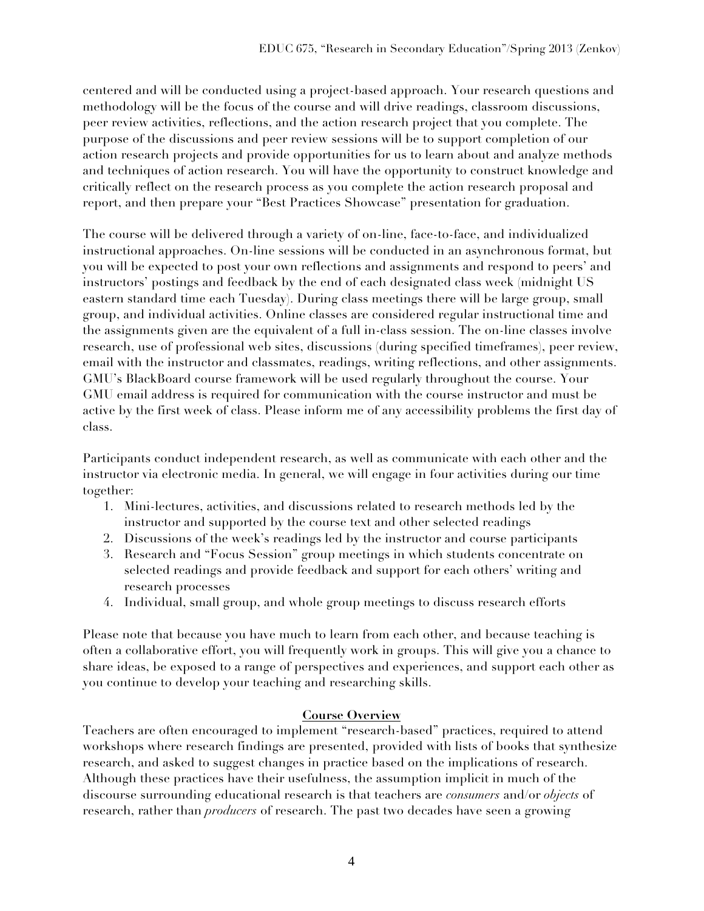centered and will be conducted using a project-based approach. Your research questions and methodology will be the focus of the course and will drive readings, classroom discussions, peer review activities, reflections, and the action research project that you complete. The purpose of the discussions and peer review sessions will be to support completion of our action research projects and provide opportunities for us to learn about and analyze methods and techniques of action research. You will have the opportunity to construct knowledge and critically reflect on the research process as you complete the action research proposal and report, and then prepare your "Best Practices Showcase" presentation for graduation.

The course will be delivered through a variety of on-line, face-to-face, and individualized instructional approaches. On-line sessions will be conducted in an asynchronous format, but you will be expected to post your own reflections and assignments and respond to peers' and instructors' postings and feedback by the end of each designated class week (midnight US eastern standard time each Tuesday). During class meetings there will be large group, small group, and individual activities. Online classes are considered regular instructional time and the assignments given are the equivalent of a full in-class session. The on-line classes involve research, use of professional web sites, discussions (during specified timeframes), peer review, email with the instructor and classmates, readings, writing reflections, and other assignments. GMU's BlackBoard course framework will be used regularly throughout the course. Your GMU email address is required for communication with the course instructor and must be active by the first week of class. Please inform me of any accessibility problems the first day of class.

Participants conduct independent research, as well as communicate with each other and the instructor via electronic media. In general, we will engage in four activities during our time together:

- 1. Mini-lectures, activities, and discussions related to research methods led by the instructor and supported by the course text and other selected readings
- 2. Discussions of the week's readings led by the instructor and course participants
- 3. Research and "Focus Session" group meetings in which students concentrate on selected readings and provide feedback and support for each others' writing and research processes
- 4. Individual, small group, and whole group meetings to discuss research efforts

Please note that because you have much to learn from each other, and because teaching is often a collaborative effort, you will frequently work in groups. This will give you a chance to share ideas, be exposed to a range of perspectives and experiences, and support each other as you continue to develop your teaching and researching skills.

### **Course Overview**

Teachers are often encouraged to implement "research-based" practices, required to attend workshops where research findings are presented, provided with lists of books that synthesize research, and asked to suggest changes in practice based on the implications of research. Although these practices have their usefulness, the assumption implicit in much of the discourse surrounding educational research is that teachers are *consumers* and/or *objects* of research, rather than *producers* of research. The past two decades have seen a growing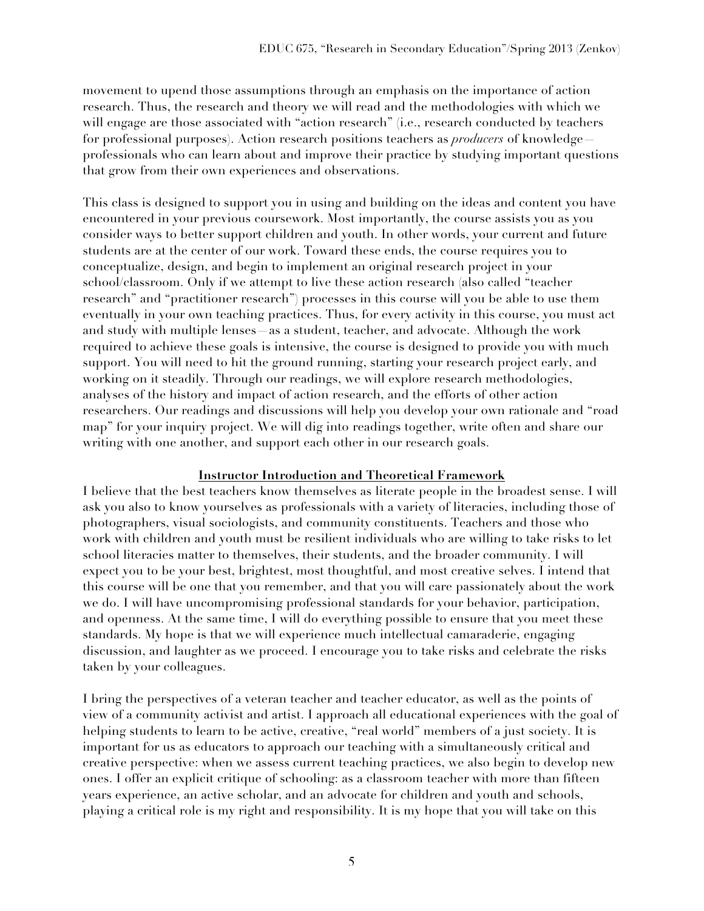movement to upend those assumptions through an emphasis on the importance of action research. Thus, the research and theory we will read and the methodologies with which we will engage are those associated with "action research" (i.e., research conducted by teachers for professional purposes). Action research positions teachers as *producers* of knowledge professionals who can learn about and improve their practice by studying important questions that grow from their own experiences and observations.

This class is designed to support you in using and building on the ideas and content you have encountered in your previous coursework. Most importantly, the course assists you as you consider ways to better support children and youth. In other words, your current and future students are at the center of our work. Toward these ends, the course requires you to conceptualize, design, and begin to implement an original research project in your school/classroom. Only if we attempt to live these action research (also called "teacher research" and "practitioner research") processes in this course will you be able to use them eventually in your own teaching practices. Thus, for every activity in this course, you must act and study with multiple lenses—as a student, teacher, and advocate. Although the work required to achieve these goals is intensive, the course is designed to provide you with much support. You will need to hit the ground running, starting your research project early, and working on it steadily. Through our readings, we will explore research methodologies, analyses of the history and impact of action research, and the efforts of other action researchers. Our readings and discussions will help you develop your own rationale and "road map" for your inquiry project. We will dig into readings together, write often and share our writing with one another, and support each other in our research goals.

### **Instructor Introduction and Theoretical Framework**

I believe that the best teachers know themselves as literate people in the broadest sense. I will ask you also to know yourselves as professionals with a variety of literacies, including those of photographers, visual sociologists, and community constituents. Teachers and those who work with children and youth must be resilient individuals who are willing to take risks to let school literacies matter to themselves, their students, and the broader community. I will expect you to be your best, brightest, most thoughtful, and most creative selves. I intend that this course will be one that you remember, and that you will care passionately about the work we do. I will have uncompromising professional standards for your behavior, participation, and openness. At the same time, I will do everything possible to ensure that you meet these standards. My hope is that we will experience much intellectual camaraderie, engaging discussion, and laughter as we proceed. I encourage you to take risks and celebrate the risks taken by your colleagues.

I bring the perspectives of a veteran teacher and teacher educator, as well as the points of view of a community activist and artist. I approach all educational experiences with the goal of helping students to learn to be active, creative, "real world" members of a just society. It is important for us as educators to approach our teaching with a simultaneously critical and creative perspective: when we assess current teaching practices, we also begin to develop new ones. I offer an explicit critique of schooling: as a classroom teacher with more than fifteen years experience, an active scholar, and an advocate for children and youth and schools, playing a critical role is my right and responsibility. It is my hope that you will take on this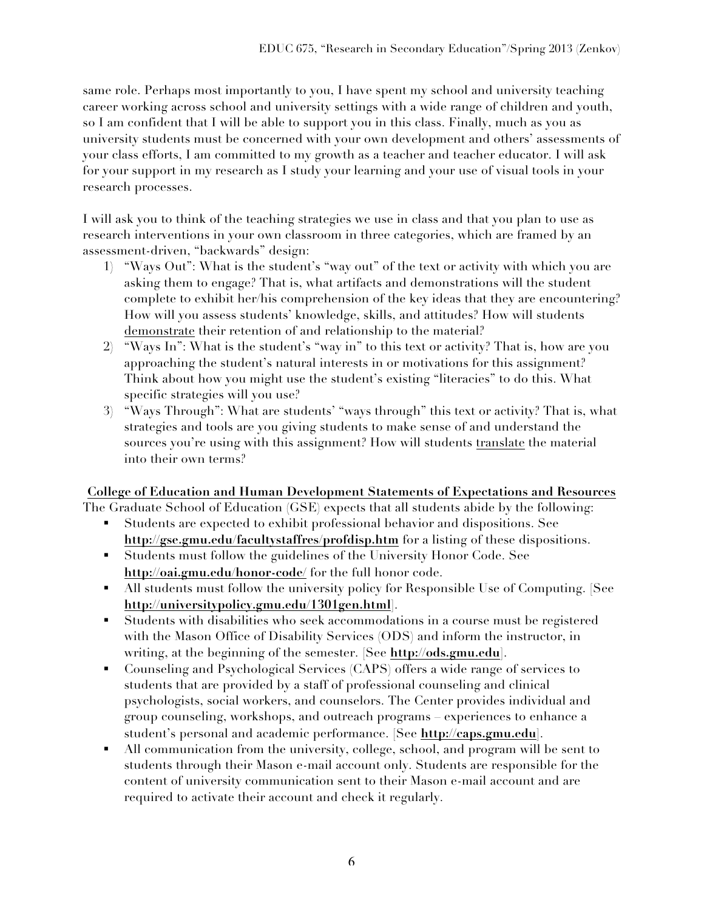same role. Perhaps most importantly to you, I have spent my school and university teaching career working across school and university settings with a wide range of children and youth, so I am confident that I will be able to support you in this class. Finally, much as you as university students must be concerned with your own development and others' assessments of your class efforts, I am committed to my growth as a teacher and teacher educator. I will ask for your support in my research as I study your learning and your use of visual tools in your research processes.

I will ask you to think of the teaching strategies we use in class and that you plan to use as research interventions in your own classroom in three categories, which are framed by an assessment-driven, "backwards" design:

- 1) "Ways Out": What is the student's "way out" of the text or activity with which you are asking them to engage? That is, what artifacts and demonstrations will the student complete to exhibit her/his comprehension of the key ideas that they are encountering? How will you assess students' knowledge, skills, and attitudes? How will students demonstrate their retention of and relationship to the material?
- 2) "Ways In": What is the student's "way in" to this text or activity? That is, how are you approaching the student's natural interests in or motivations for this assignment? Think about how you might use the student's existing "literacies" to do this. What specific strategies will you use?
- 3) "Ways Through": What are students' "ways through" this text or activity? That is, what strategies and tools are you giving students to make sense of and understand the sources you're using with this assignment? How will students translate the material into their own terms?

## **College of Education and Human Development Statements of Expectations and Resources**

The Graduate School of Education (GSE) expects that all students abide by the following:

- Students are expected to exhibit professional behavior and dispositions. See **http://gse.gmu.edu/facultystaffres/profdisp.htm** for a listing of these dispositions.
- Students must follow the guidelines of the University Honor Code. See **http://oai.gmu.edu/honor-code/** for the full honor code.
- All students must follow the university policy for Responsible Use of Computing. [See **http://universitypolicy.gmu.edu/1301gen.html**].
- - Students with disabilities who seek accommodations in a course must be registered with the Mason Office of Disability Services (ODS) and inform the instructor, in writing, at the beginning of the semester. [See **http://ods.gmu.edu**].
- - Counseling and Psychological Services (CAPS) offers a wide range of services to students that are provided by a staff of professional counseling and clinical psychologists, social workers, and counselors. The Center provides individual and group counseling, workshops, and outreach programs – experiences to enhance a student's personal and academic performance. [See **http://caps.gmu.edu**].
- - All communication from the university, college, school, and program will be sent to students through their Mason e-mail account only. Students are responsible for the content of university communication sent to their Mason e-mail account and are required to activate their account and check it regularly.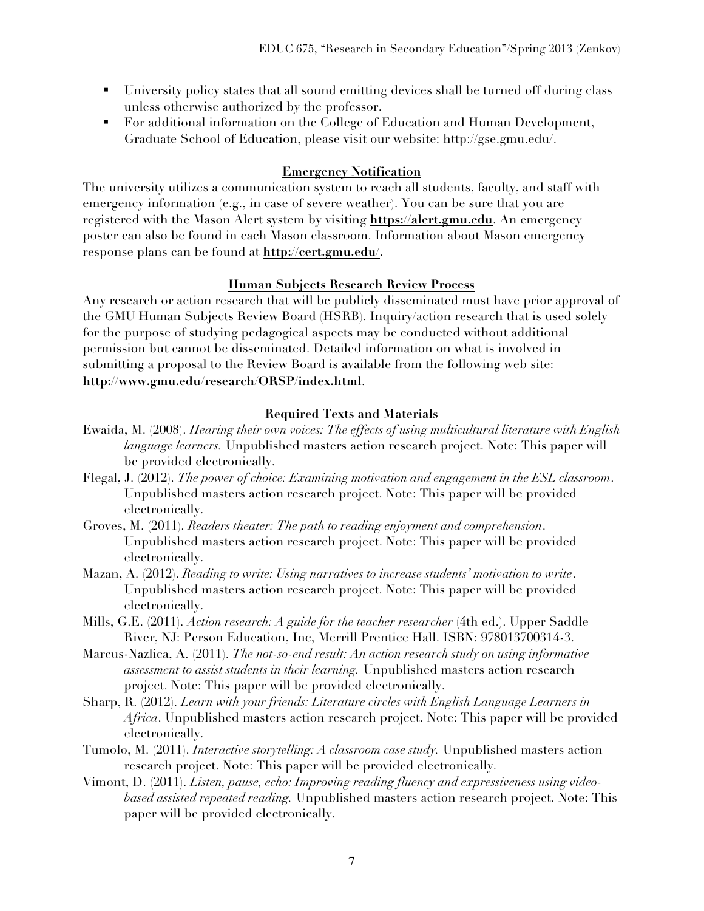- University policy states that all sound emitting devices shall be turned off during class unless otherwise authorized by the professor.
- - For additional information on the College of Education and Human Development, Graduate School of Education, please visit our website: http://gse.gmu.edu/.

## **Emergency Notification**

The university utilizes a communication system to reach all students, faculty, and staff with emergency information (e.g., in case of severe weather). You can be sure that you are registered with the Mason Alert system by visiting **https://alert.gmu.edu**. An emergency poster can also be found in each Mason classroom. Information about Mason emergency response plans can be found at **http://cert.gmu.edu/**.

### **Human Subjects Research Review Process**

Any research or action research that will be publicly disseminated must have prior approval of the GMU Human Subjects Review Board (HSRB). Inquiry/action research that is used solely for the purpose of studying pedagogical aspects may be conducted without additional permission but cannot be disseminated. Detailed information on what is involved in submitting a proposal to the Review Board is available from the following web site: **http://www.gmu.edu/research/ORSP/index.html**.

## **Required Texts and Materials**

- Ewaida, M. (2008). *Hearing their own voices: The effects of using multicultural literature with English language learners.* Unpublished masters action research project. Note: This paper will be provided electronically.
- Flegal, J. (2012). *The power of choice: Examining motivation and engagement in the ESL classroom*. Unpublished masters action research project. Note: This paper will be provided electronically.
- Groves, M. (2011). *Readers theater: The path to reading enjoyment and comprehension*. Unpublished masters action research project. Note: This paper will be provided electronically.
- Mazan, A. (2012). *Reading to write: Using narratives to increase students' motivation to write*. Unpublished masters action research project. Note: This paper will be provided electronically.
- Mills, G.E. (2011). *Action research: A guide for the teacher researcher* (4th ed.). Upper Saddle River, NJ: Person Education, Inc, Merrill Prentice Hall. ISBN: 978013700314-3.
- Marcus-Nazlica, A. (2011). *The not-so-end result: An action research study on using informative assessment to assist students in their learning.* Unpublished masters action research project. Note: This paper will be provided electronically.
- Sharp, R. (2012). *Learn with your friends: Literature circles with English Language Learners in Africa*. Unpublished masters action research project. Note: This paper will be provided electronically.
- Tumolo, M. (2011). *Interactive storytelling: A classroom case study.* Unpublished masters action research project. Note: This paper will be provided electronically.
- Vimont, D. (2011). *Listen, pause, echo: Improving reading fluency and expressiveness using videobased assisted repeated reading.* Unpublished masters action research project. Note: This paper will be provided electronically.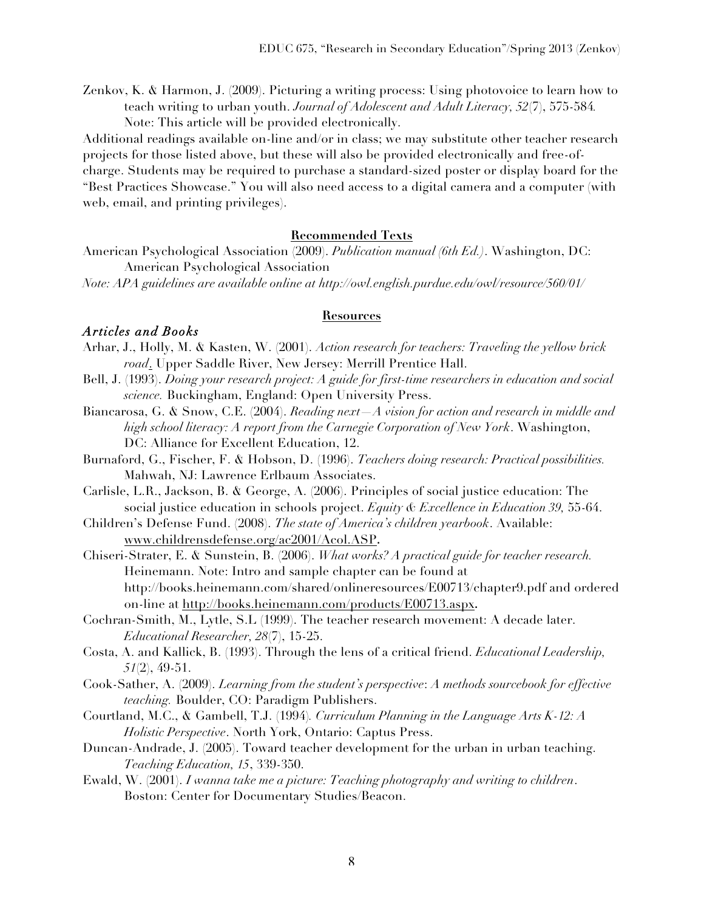Zenkov, K. & Harmon, J. (2009). Picturing a writing process: Using photovoice to learn how to teach writing to urban youth. *Journal of Adolescent and Adult Literacy, 52*(7), 575-584*.* Note: This article will be provided electronically.

Additional readings available on-line and/or in class; we may substitute other teacher research projects for those listed above, but these will also be provided electronically and free-ofcharge. Students may be required to purchase a standard-sized poster or display board for the "Best Practices Showcase." You will also need access to a digital camera and a computer (with web, email, and printing privileges).

#### **Recommended Texts**

American Psychological Association (2009). *Publication manual (6th Ed.)*. Washington, DC: American Psychological Association

*Note: APA guidelines are available online at http://owl.english.purdue.edu/owl/resource/560/01/* 

#### **Resources**

#### *Articles and Books*

- Arhar, J., Holly, M. & Kasten, W. (2001). *Action research for teachers: Traveling the yellow brick road*. Upper Saddle River, New Jersey: Merrill Prentice Hall.
- Bell, J. (1993). *Doing your research project: A guide for first-time researchers in education and social science.* Buckingham, England: Open University Press.
- Biancarosa, G. & Snow, C.E. (2004). *Reading next—A vision for action and research in middle and high school literacy: A report from the Carnegie Corporation of New York*. Washington, DC: Alliance for Excellent Education, 12.
- Burnaford, G., Fischer, F. & Hobson, D. (1996). *Teachers doing research: Practical possibilities.* Mahwah, NJ: Lawrence Erlbaum Associates.
- Carlisle, L.R., Jackson, B. & George, A. (2006). Principles of social justice education: The social justice education in schools project. *Equity & Excellence in Education 39,* 55-64.
- Children's Defense Fund. (2008). *The state of America's children yearbook*. Available: www.childrensdefense.org/ac2001/Acol.ASP**.**
- Chiseri-Strater, E. & Sunstein, B. (2006). *What works? A practical guide for teacher research.*  Heinemann. Note: Intro and sample chapter can be found at http://books.heinemann.com/shared/onlineresources/E00713/chapter9.pdf and ordered on-line at http://books.heinemann.com/products/E00713.aspx**.**
- Cochran-Smith, M., Lytle, S.L (1999). The teacher research movement: A decade later. *Educational Researcher, 28*(7), 15-25.
- Costa, A. and Kallick, B. (1993). Through the lens of a critical friend. *Educational Leadership, 51*(2), 49-51.
- Cook-Sather, A. (2009). *Learning from the student's perspective*: *A methods sourcebook for effective teaching.* Boulder, CO: Paradigm Publishers.
- Courtland, M.C., & Gambell, T.J. (1994)*. Curriculum Planning in the Language Arts K-12: A Holistic Perspective*. North York, Ontario: Captus Press.
- Duncan-Andrade, J. (2005). Toward teacher development for the urban in urban teaching. *Teaching Education, 15*, 339-350.
- Ewald, W. (2001). *I wanna take me a picture: Teaching photography and writing to children*. Boston: Center for Documentary Studies/Beacon.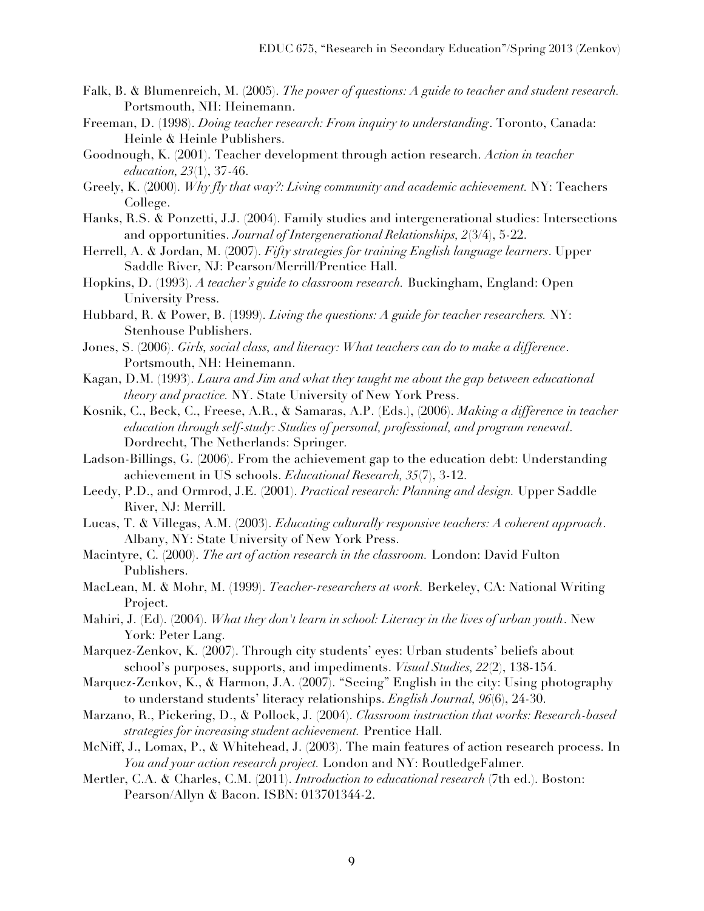- Falk, B. & Blumenreich, M. (2005). *The power of questions: A guide to teacher and student research.*  Portsmouth, NH: Heinemann.
- Freeman, D. (1998). *Doing teacher research: From inquiry to understanding*. Toronto, Canada: Heinle & Heinle Publishers.
- Goodnough, K. (2001). Teacher development through action research. *Action in teacher education, 23*(1), 37-46.
- Greely, K. (2000). *Why fly that way?: Living community and academic achievement.* NY: Teachers College.
- Hanks, R.S. & Ponzetti, J.J. (2004). Family studies and intergenerational studies: Intersections and opportunities. *Journal of Intergenerational Relationships, 2*(3/4), 5-22.
- Herrell, A. & Jordan, M. (2007). *Fifty strategies for training English language learners*. Upper Saddle River, NJ: Pearson/Merrill/Prentice Hall.
- Hopkins, D. (1993). *A teacher's guide to classroom research.* Buckingham, England: Open University Press.
- Hubbard, R. & Power, B. (1999). *Living the questions: A guide for teacher researchers.* NY: Stenhouse Publishers.
- Jones, S. (2006). *Girls, social class, and literacy: What teachers can do to make a difference*. Portsmouth, NH: Heinemann.
- Kagan, D.M. (1993). *Laura and Jim and what they taught me about the gap between educational theory and practice.* NY. State University of New York Press.
- Kosnik, C., Beck, C., Freese, A.R., & Samaras, A.P. (Eds.), (2006). *Making a difference in teacher education through self-study: Studies of personal, professional, and program renewal*. Dordrecht, The Netherlands: Springer.
- Ladson-Billings, G. (2006). From the achievement gap to the education debt: Understanding achievement in US schools. *Educational Research, 35*(7), 3-12.
- Leedy, P.D., and Ormrod, J.E. (2001). *Practical research: Planning and design.* Upper Saddle River, NJ: Merrill.
- Lucas, T. & Villegas, A.M. (2003). *Educating culturally responsive teachers: A coherent approach*. Albany, NY: State University of New York Press.
- Macintyre, C. (2000). *The art of action research in the classroom.* London: David Fulton Publishers.
- MacLean, M. & Mohr, M. (1999). *Teacher-researchers at work.* Berkeley, CA: National Writing Project.
- Mahiri, J. (Ed). (2004). *What they don't learn in school: Literacy in the lives of urban youth*. New York: Peter Lang.
- Marquez-Zenkov, K. (2007). Through city students' eyes: Urban students' beliefs about school's purposes, supports, and impediments. *Visual Studies, 22*(2), 138-154.
- Marquez-Zenkov, K., & Harmon, J.A. (2007). "Seeing" English in the city: Using photography to understand students' literacy relationships. *English Journal, 96*(6), 24-30.
- Marzano, R., Pickering, D., & Pollock, J. (2004). *Classroom instruction that works: Research-based strategies for increasing student achievement.* Prentice Hall.
- McNiff, J., Lomax, P., & Whitehead, J. (2003). The main features of action research process. In *You and your action research project.* London and NY: RoutledgeFalmer.
- Mertler, C.A. & Charles, C.M. (2011). *Introduction to educational research* (7th ed.). Boston: Pearson/Allyn & Bacon. ISBN: 013701344-2.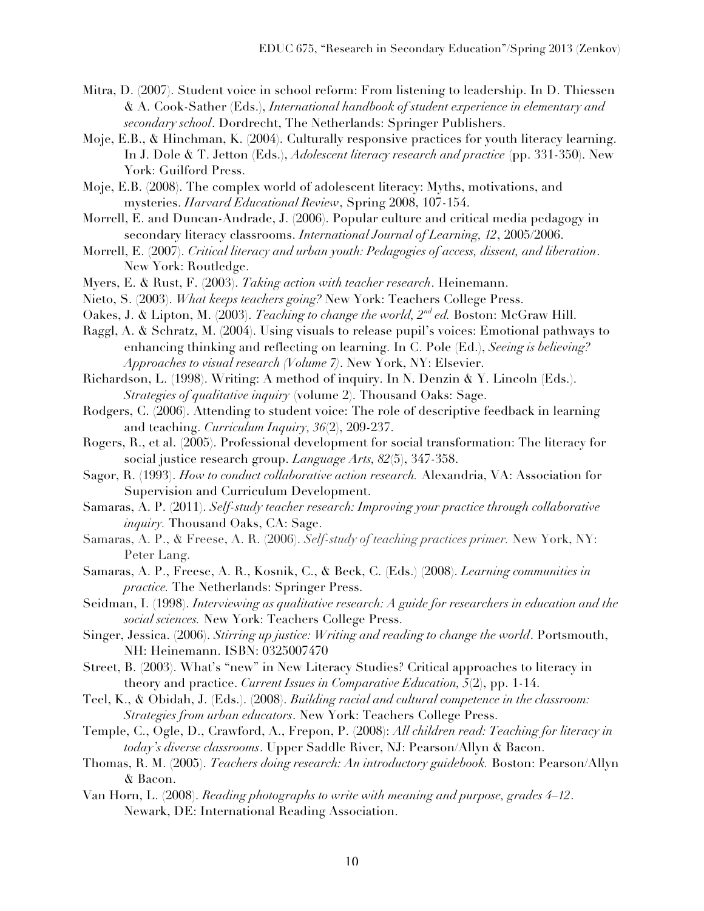- Mitra, D. (2007). Student voice in school reform: From listening to leadership. In D. Thiessen & A. Cook-Sather (Eds.), *International handbook of student experience in elementary and secondary school*. Dordrecht, The Netherlands: Springer Publishers.
- Moje, E.B., & Hinchman, K. (2004). Culturally responsive practices for youth literacy learning. In J. Dole & T. Jetton (Eds.), *Adolescent literacy research and practice* (pp. 331-350). New York: Guilford Press.
- Moje, E.B. (2008). The complex world of adolescent literacy: Myths, motivations, and mysteries. *Harvard Educational Review*, Spring 2008, 107-154.
- Morrell, E. and Duncan-Andrade, J. (2006). Popular culture and critical media pedagogy in secondary literacy classrooms. *International Journal of Learning, 12*, 2005/2006.
- Morrell, E. (2007). *Critical literacy and urban youth: Pedagogies of access, dissent, and liberation*. New York: Routledge.
- Myers, E. & Rust, F. (2003). *Taking action with teacher research*. Heinemann.
- Nieto, S. (2003). *What keeps teachers going?* New York: Teachers College Press.
- Oakes, J. & Lipton, M. (2003). *Teaching to change the world, 2nd ed.* Boston: McGraw Hill.
- Raggl, A. & Schratz, M. (2004). Using visuals to release pupil's voices: Emotional pathways to enhancing thinking and reflecting on learning. In C. Pole (Ed.), *Seeing is believing? Approaches to visual research (Volume 7)*. New York, NY: Elsevier.
- Richardson, L. (1998). Writing: A method of inquiry. In N. Denzin & Y. Lincoln (Eds.). *Strategies of qualitative inquiry* (volume 2). Thousand Oaks: Sage.
- Rodgers, C. (2006). Attending to student voice: The role of descriptive feedback in learning and teaching. *Curriculum Inquiry, 36*(2), 209-237.
- Rogers, R., et al. (2005). Professional development for social transformation: The literacy for social justice research group. *Language Arts, 82*(5), 347-358.
- Sagor, R. (1993). *How to conduct collaborative action research.* Alexandria, VA: Association for Supervision and Curriculum Development.
- Samaras, A. P. (2011). *Self-study teacher research: Improving your practice through collaborative inquiry.* Thousand Oaks, CA: Sage.
- Samaras, A. P., & Freese, A. R. (2006). *Self-study of teaching practices primer.* New York, NY: Peter Lang.
- Samaras, A. P., Freese, A. R., Kosnik, C., & Beck, C. (Eds.) (2008). *Learning communities in practice.* The Netherlands: Springer Press.
- Seidman, I. (1998). *Interviewing as qualitative research: A guide for researchers in education and the social sciences.* New York: Teachers College Press.
- Singer, Jessica. (2006). *Stirring up justice: Writing and reading to change the world*. Portsmouth, NH: Heinemann. ISBN: 0325007470
- Street, B. (2003). What's "new" in New Literacy Studies? Critical approaches to literacy in theory and practice. *Current Issues in Comparative Education, 5*(2), pp. 1-14.
- Teel, K., & Obidah, J. (Eds.). (2008). *Building racial and cultural competence in the classroom: Strategies from urban educators*. New York: Teachers College Press.
- Temple, C., Ogle, D., Crawford, A., Frepon, P. (2008): *All children read: Teaching for literacy in today's diverse classrooms*. Upper Saddle River, NJ: Pearson/Allyn & Bacon.
- Thomas, R. M. (2005). *Teachers doing research: An introductory guidebook.* Boston: Pearson/Allyn & Bacon.
- Van Horn, L. (2008). *Reading photographs to write with meaning and purpose, grades 4–12*. Newark, DE: International Reading Association.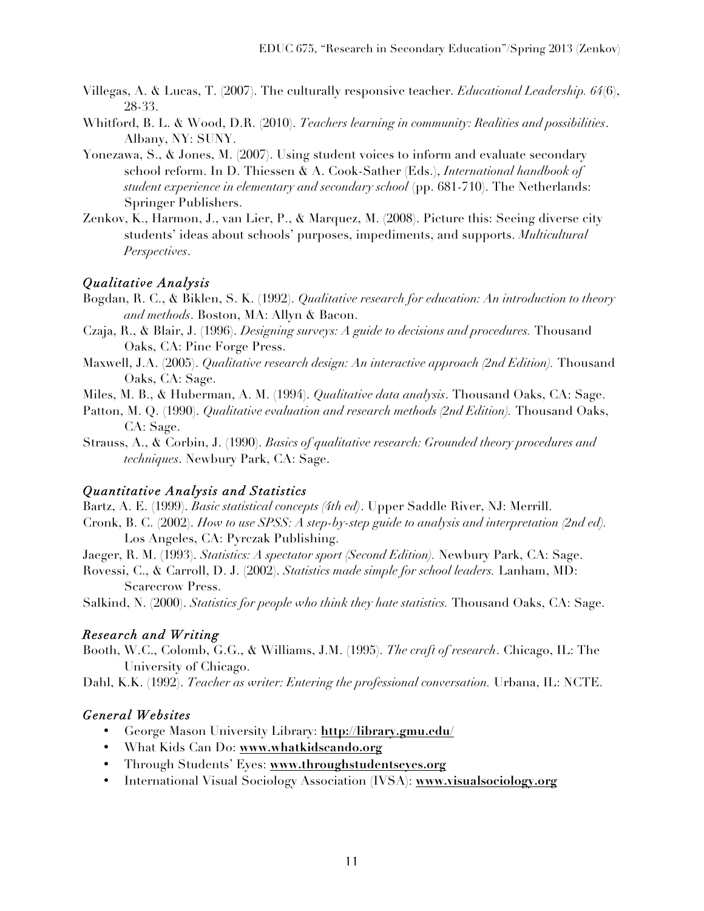- Villegas, A. & Lucas, T. (2007). The culturally responsive teacher. *Educational Leadership. 64*(6), 28-33.
- Whitford, B. L. & Wood, D.R. (2010). *Teachers learning in community: Realities and possibilities*. Albany, NY: SUNY.
- Yonezawa, S., & Jones, M. (2007). Using student voices to inform and evaluate secondary school reform. In D. Thiessen & A. Cook-Sather (Eds.), *International handbook of student experience in elementary and secondary school* (pp. 681-710). The Netherlands: Springer Publishers.
- Zenkov, K., Harmon, J., van Lier, P., & Marquez, M. (2008). Picture this: Seeing diverse city students' ideas about schools' purposes, impediments, and supports. *Multicultural Perspectives*.

## *Qualitative Analysis*

- Bogdan, R. C., & Biklen, S. K. (1992). *Qualitative research for education: An introduction to theory and methods*. Boston, MA: Allyn & Bacon.
- Czaja, R., & Blair, J. (1996). *Designing surveys: A guide to decisions and procedures.* Thousand Oaks, CA: Pine Forge Press.
- Maxwell, J.A. (2005). *Qualitative research design: An interactive approach (2nd Edition).* Thousand Oaks, CA: Sage.
- Miles, M. B., & Huberman, A. M. (1994). *Qualitative data analysis*. Thousand Oaks, CA: Sage.
- Patton, M. Q. (1990). *Qualitative evaluation and research methods (2nd Edition)*. Thousand Oaks, CA: Sage.
- Strauss, A., & Corbin, J. (1990). *Basics of qualitative research: Grounded theory procedures and techniques*. Newbury Park, CA: Sage.

## *Quantitative Analysis and Statistics*

- Bartz, A. E. (1999). *Basic statistical concepts (4th ed)*. Upper Saddle River, NJ: Merrill.
- Cronk, B. C. (2002). *How to use SPSS: A step-by-step guide to analysis and interpretation (2nd ed).*  Los Angeles, CA: Pyrczak Publishing.
- Jaeger, R. M. (1993). *Statistics: A spectator sport (Second Edition).* Newbury Park, CA: Sage.
- Rovessi, C., & Carroll, D. J. (2002). *Statistics made simple for school leaders.* Lanham, MD: Scarecrow Press.
- Salkind, N. (2000). *Statistics for people who think they hate statistics.* Thousand Oaks, CA: Sage.

## *Research and Writing*

Booth, W.C., Colomb, G.G., & Williams, J.M. (1995). *The craft of research*. Chicago, IL: The University of Chicago.

Dahl, K.K. (1992). *Teacher as writer: Entering the professional conversation.* Urbana, IL: NCTE.

## *General Websites*

- George Mason University Library: **http://library.gmu.edu/**
- What Kids Can Do: **www.whatkidscando.org**
- Through Students' Eyes: **www.throughstudentseyes.org**
- International Visual Sociology Association (IVSA): **www.visualsociology.org**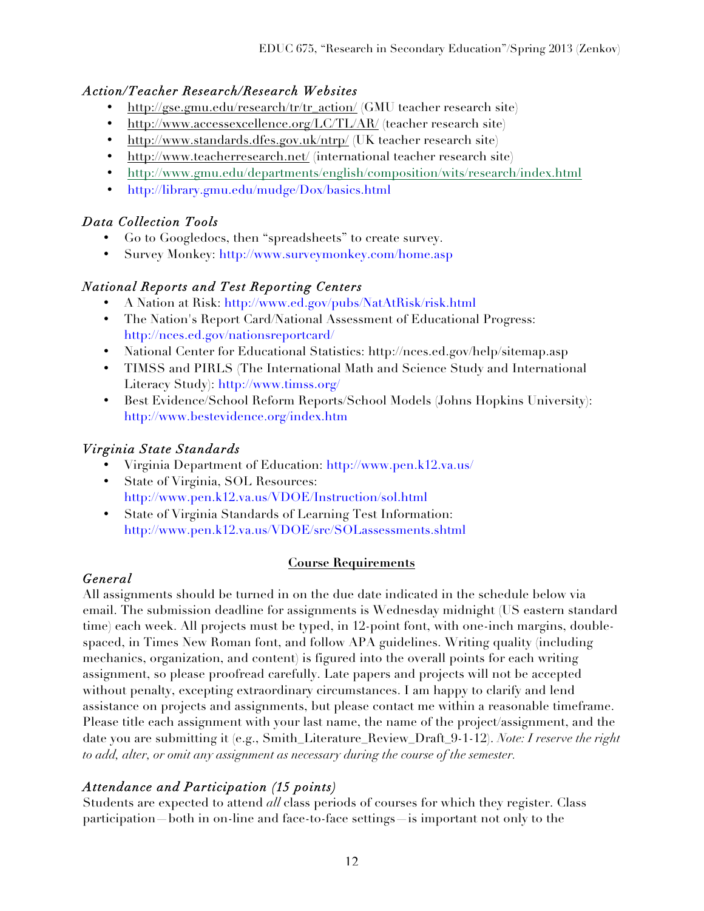# *Action/Teacher Research/Research Websites*

- http://gse.gmu.edu/research/tr/tr\_action/ (GMU teacher research site)
- http://www.accessexcellence.org/LC/TL/AR/ (teacher research site)
- http://www.standards.dfes.gov.uk/ntrp/ (UK teacher research site)
- http://www.teacherresearch.net/ (international teacher research site)
- http://www.gmu.edu/departments/english/composition/wits/research/index.html
- http://library.gmu.edu/mudge/Dox/basics.html

# *Data Collection Tools*

- Go to Googledocs, then "spreadsheets" to create survey.
- Survey Monkey: http://www.surveymonkey.com/home.asp

## *National Reports and Test Reporting Centers*

- A Nation at Risk: http://www.ed.gov/pubs/NatAtRisk/risk.html
- The Nation's Report Card/National Assessment of Educational Progress: http://nces.ed.gov/nationsreportcard/
- National Center for Educational Statistics: http://nces.ed.gov/help/sitemap.asp
- TIMSS and PIRLS (The International Math and Science Study and International Literacy Study): http://www.timss.org/
- Best Evidence/School Reform Reports/School Models (Johns Hopkins University): http://www.bestevidence.org/index.htm

# *Virginia State Standards*

- Virginia Department of Education: http://www.pen.k12.va.us/
- State of Virginia, SOL Resources: http://www.pen.k12.va.us/VDOE/Instruction/sol.html
- State of Virginia Standards of Learning Test Information: http://www.pen.k12.va.us/VDOE/src/SOLassessments.shtml

## **Course Requirements**

# *General*

All assignments should be turned in on the due date indicated in the schedule below via email. The submission deadline for assignments is Wednesday midnight (US eastern standard time) each week. All projects must be typed, in 12-point font, with one-inch margins, doublespaced, in Times New Roman font, and follow APA guidelines. Writing quality (including mechanics, organization, and content) is figured into the overall points for each writing assignment, so please proofread carefully. Late papers and projects will not be accepted without penalty, excepting extraordinary circumstances. I am happy to clarify and lend assistance on projects and assignments, but please contact me within a reasonable timeframe. Please title each assignment with your last name, the name of the project/assignment, and the date you are submitting it (e.g., Smith\_Literature\_Review\_Draft\_9-1-12). *Note: I reserve the right to add, alter, or omit any assignment as necessary during the course of the semester.*

# *Attendance and Participation (15 points)*

Students are expected to attend *all* class periods of courses for which they register. Class participation—both in on-line and face-to-face settings—is important not only to the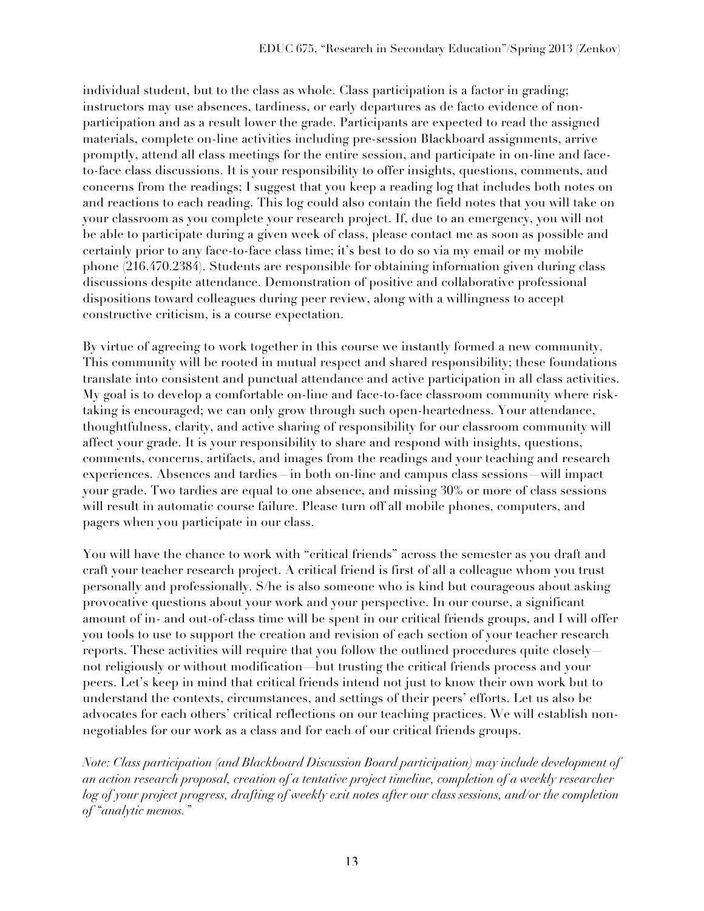individual student, but to the class as whole. Class participation is a factor in grading; instructors may use absences, tardiness, or early departures as de facto evidence of nonparticipation and as a result lower the grade. Participants are expected to read the assigned materials, complete on-line activities including pre-session Blackboard assignments, arrive promptly, attend all class meetings for the entire session, and participate in on-line and faceto-face class discussions. It is your responsibility to offer insights, questions, comments, and concerns from the readings; I suggest that you keep a reading log that includes both notes on and reactions to each reading. This log could also contain the field notes that you will take on your classroom as you complete your research project. If, due to an emergency, you will not be able to participate during a given week of class, please contact me as soon as possible and certainly prior to any face-to-face class time; it's best to do so via my email or my mobile phone (216.470.2384). Students are responsible for obtaining information given during class discussions despite attendance. Demonstration of positive and collaborative professional dispositions toward colleagues during peer review, along with a willingness to accept constructive criticism, is a course expectation.

By virtue of agreeing to work together in this course we instantly formed a new community. This community will be rooted in mutual respect and shared responsibility; these foundations translate into consistent and punctual attendance and active participation in all class activities. My goal is to develop a comfortable on-line and face-to-face classroom community where risktaking is encouraged; we can only grow through such open-heartedness. Your attendance, thoughtfulness, clarity, and active sharing of responsibility for our classroom community will affect your grade. It is your responsibility to share and respond with insights, questions, comments, concerns, artifacts, and images from the readings and your teaching and research experiences. Absences and tardies—in both on-line and campus class sessions—will impact your grade. Two tardies are equal to one absence, and missing 30% or more of class sessions will result in automatic course failure. Please turn off all mobile phones, computers, and pagers when you participate in our class.

You will have the chance to work with "critical friends" across the semester as you draft and craft your teacher research project. A critical friend is first of all a colleague whom you trust personally and professionally. S/he is also someone who is kind but courageous about asking provocative questions about your work and your perspective. In our course, a significant amount of in- and out-of-class time will be spent in our critical friends groups, and I will offer you tools to use to support the creation and revision of each section of your teacher research reports. These activities will require that you follow the outlined procedures quite closely not religiously or without modification—but trusting the critical friends process and your peers. Let's keep in mind that critical friends intend not just to know their own work but to understand the contexts, circumstances, and settings of their peers' efforts. Let us also be advocates for each others' critical reflections on our teaching practices. We will establish nonnegotiables for our work as a class and for each of our critical friends groups.

*Note: Class participation (and Blackboard Discussion Board participation) may include development of an action research proposal, creation of a tentative project timeline, completion of a weekly researcher log of your project progress, drafting of weekly exit notes after our class sessions, and/or the completion of "analytic memos."*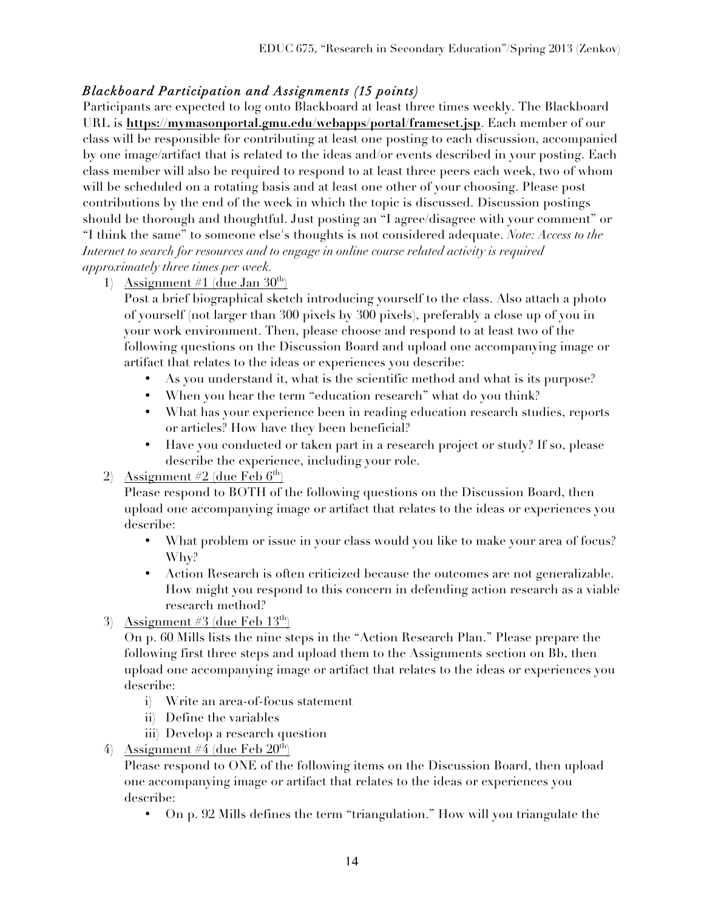# *Blackboard Participation and Assignments (15 points)*

Participants are expected to log onto Blackboard at least three times weekly. The Blackboard URL is **https://mymasonportal.gmu.edu/webapps/portal/frameset.jsp**. Each member of our class will be responsible for contributing at least one posting to each discussion, accompanied by one image/artifact that is related to the ideas and/or events described in your posting. Each class member will also be required to respond to at least three peers each week, two of whom will be scheduled on a rotating basis and at least one other of your choosing. Please post contributions by the end of the week in which the topic is discussed. Discussion postings should be thorough and thoughtful. Just posting an "I agree/disagree with your comment" or "I think the same" to someone else's thoughts is not considered adequate. *Note: Access to the Internet to search for resources and to engage in online course related activity is required approximately three times per week.* 

1) Assignment #1 (due Jan  $30<sup>th</sup>$ )

Post a brief biographical sketch introducing yourself to the class. Also attach a photo of yourself (not larger than 300 pixels by 300 pixels), preferably a close up of you in your work environment. Then, please choose and respond to at least two of the following questions on the Discussion Board and upload one accompanying image or artifact that relates to the ideas or experiences you describe:

- As you understand it, what is the scientific method and what is its purpose?
- When you hear the term "education research" what do you think?
- What has your experience been in reading education research studies, reports or articles? How have they been beneficial?
- Have you conducted or taken part in a research project or study? If so, please describe the experience, including your role.
- 2) Assignment #2 (due Feb  $6<sup>th</sup>$ )

Please respond to BOTH of the following questions on the Discussion Board, then upload one accompanying image or artifact that relates to the ideas or experiences you describe:

- What problem or issue in your class would you like to make your area of focus? Why?
- Action Research is often criticized because the outcomes are not generalizable. How might you respond to this concern in defending action research as a viable research method?
- 3) Assignment #3 (due Feb  $13<sup>th</sup>$ )

On p. 60 Mills lists the nine steps in the "Action Research Plan." Please prepare the following first three steps and upload them to the Assignments section on Bb, then upload one accompanying image or artifact that relates to the ideas or experiences you describe:

- i) Write an area-of-focus statement
- ii) Define the variables
- iii) Develop a research question
- 4) Assignment #4 (due Feb  $20<sup>th</sup>$ )

Please respond to ONE of the following items on the Discussion Board, then upload one accompanying image or artifact that relates to the ideas or experiences you describe:

• On p. 92 Mills defines the term "triangulation." How will you triangulate the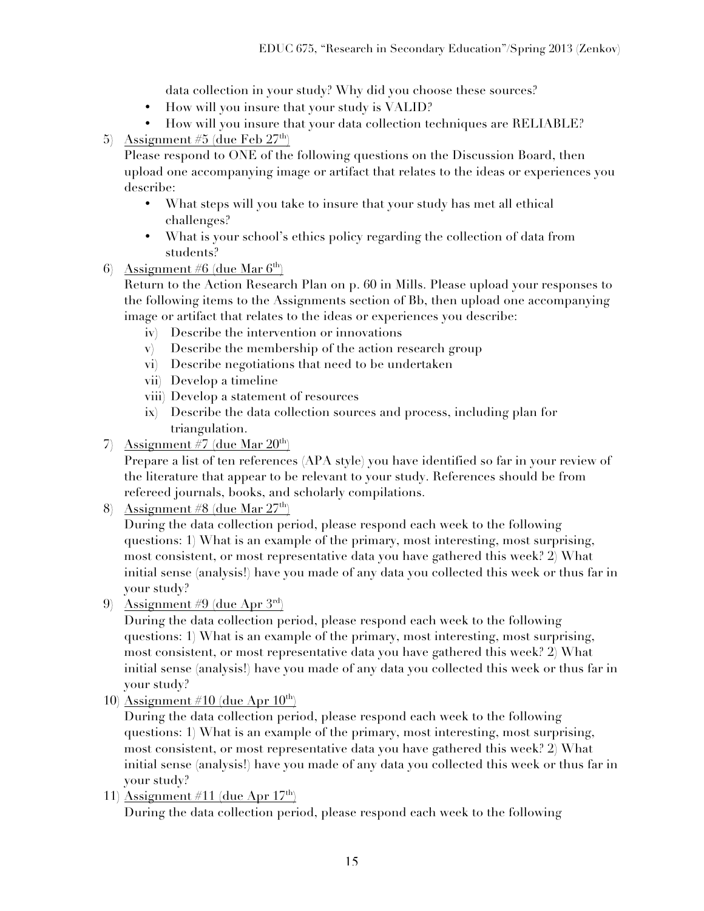data collection in your study? Why did you choose these sources?

- How will you insure that your study is VALID?
- How will you insure that your data collection techniques are RELIABLE?
- 5) Assignment #5 (due Feb  $27<sup>th</sup>$ )

Please respond to ONE of the following questions on the Discussion Board, then upload one accompanying image or artifact that relates to the ideas or experiences you describe:

- What steps will you take to insure that your study has met all ethical challenges?
- What is your school's ethics policy regarding the collection of data from students?
- 6) Assignment #6 (due Mar  $6<sup>th</sup>$ )

Return to the Action Research Plan on p. 60 in Mills. Please upload your responses to the following items to the Assignments section of Bb, then upload one accompanying image or artifact that relates to the ideas or experiences you describe:

- iv) Describe the intervention or innovations
- v) Describe the membership of the action research group
- vi) Describe negotiations that need to be undertaken
- vii) Develop a timeline
- viii) Develop a statement of resources
- ix) Describe the data collection sources and process, including plan for triangulation.
- 7) Assignment #7 (due Mar  $20<sup>th</sup>$ )

Prepare a list of ten references (APA style) you have identified so far in your review of the literature that appear to be relevant to your study. References should be from refereed journals, books, and scholarly compilations.

8) Assignment #8 (due Mar  $27<sup>th</sup>$ )

During the data collection period, please respond each week to the following questions: 1) What is an example of the primary, most interesting, most surprising, most consistent, or most representative data you have gathered this week? 2) What initial sense (analysis!) have you made of any data you collected this week or thus far in your study?

9) Assignment #9 (due Apr  $3^{\text{rd}}$ )

During the data collection period, please respond each week to the following questions: 1) What is an example of the primary, most interesting, most surprising, most consistent, or most representative data you have gathered this week? 2) What initial sense (analysis!) have you made of any data you collected this week or thus far in your study?

10) Assignment #10 (due Apr  $10^{th}$ )

During the data collection period, please respond each week to the following questions: 1) What is an example of the primary, most interesting, most surprising, most consistent, or most representative data you have gathered this week? 2) What initial sense (analysis!) have you made of any data you collected this week or thus far in your study?

11) Assignment #11 (due Apr  $17<sup>th</sup>$ )

During the data collection period, please respond each week to the following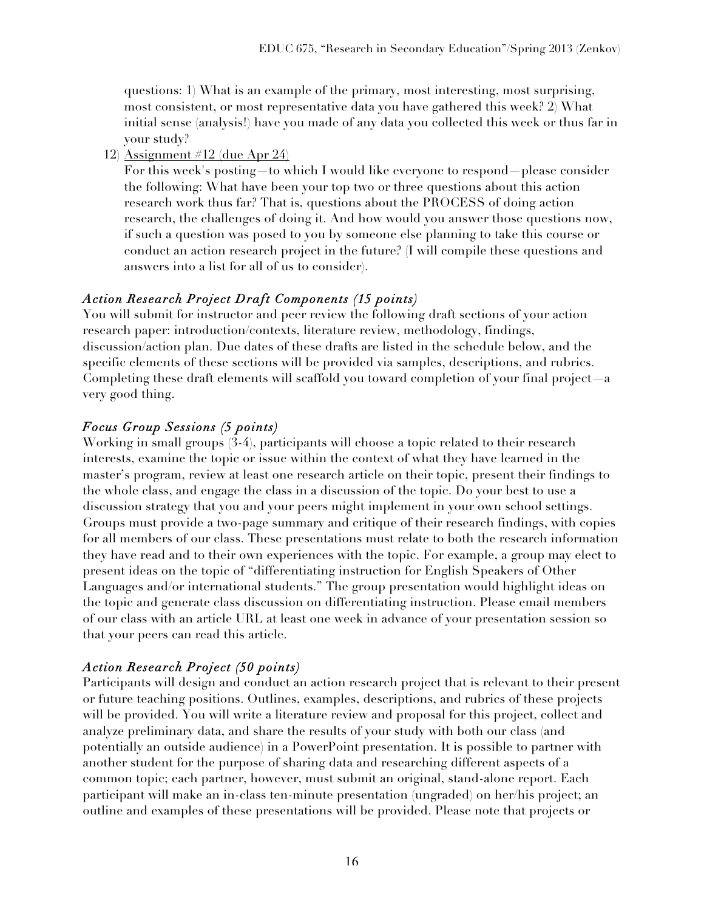questions: 1) What is an example of the primary, most interesting, most surprising, most consistent, or most representative data you have gathered this week? 2) What initial sense (analysis!) have you made of any data you collected this week or thus far in your study?

12) Assignment #12 (due Apr 24)

For this week's posting—to which I would like everyone to respond—please consider the following: What have been your top two or three questions about this action research work thus far? That is, questions about the PROCESS of doing action research, the challenges of doing it. And how would you answer those questions now, if such a question was posed to you by someone else planning to take this course or conduct an action research project in the future? (I will compile these questions and answers into a list for all of us to consider).

# *Action Research Project Draft Components (15 points)*

You will submit for instructor and peer review the following draft sections of your action research paper: introduction/contexts, literature review, methodology, findings, discussion/action plan. Due dates of these drafts are listed in the schedule below, and the specific elements of these sections will be provided via samples, descriptions, and rubrics. Completing these draft elements will scaffold you toward completion of your final project—a very good thing.

# *Focus Group Sessions (5 points)*

Working in small groups (3-4), participants will choose a topic related to their research interests, examine the topic or issue within the context of what they have learned in the master's program, review at least one research article on their topic, present their findings to the whole class, and engage the class in a discussion of the topic. Do your best to use a discussion strategy that you and your peers might implement in your own school settings. Groups must provide a two-page summary and critique of their research findings, with copies for all members of our class. These presentations must relate to both the research information they have read and to their own experiences with the topic. For example, a group may elect to present ideas on the topic of "differentiating instruction for English Speakers of Other Languages and/or international students." The group presentation would highlight ideas on the topic and generate class discussion on differentiating instruction. Please email members of our class with an article URL at least one week in advance of your presentation session so that your peers can read this article.

# *Action Research Project (50 points)*

Participants will design and conduct an action research project that is relevant to their present or future teaching positions. Outlines, examples, descriptions, and rubrics of these projects will be provided. You will write a literature review and proposal for this project, collect and analyze preliminary data, and share the results of your study with both our class (and potentially an outside audience) in a PowerPoint presentation. It is possible to partner with another student for the purpose of sharing data and researching different aspects of a common topic; each partner, however, must submit an original, stand-alone report. Each participant will make an in-class ten-minute presentation (ungraded) on her/his project; an outline and examples of these presentations will be provided. Please note that projects or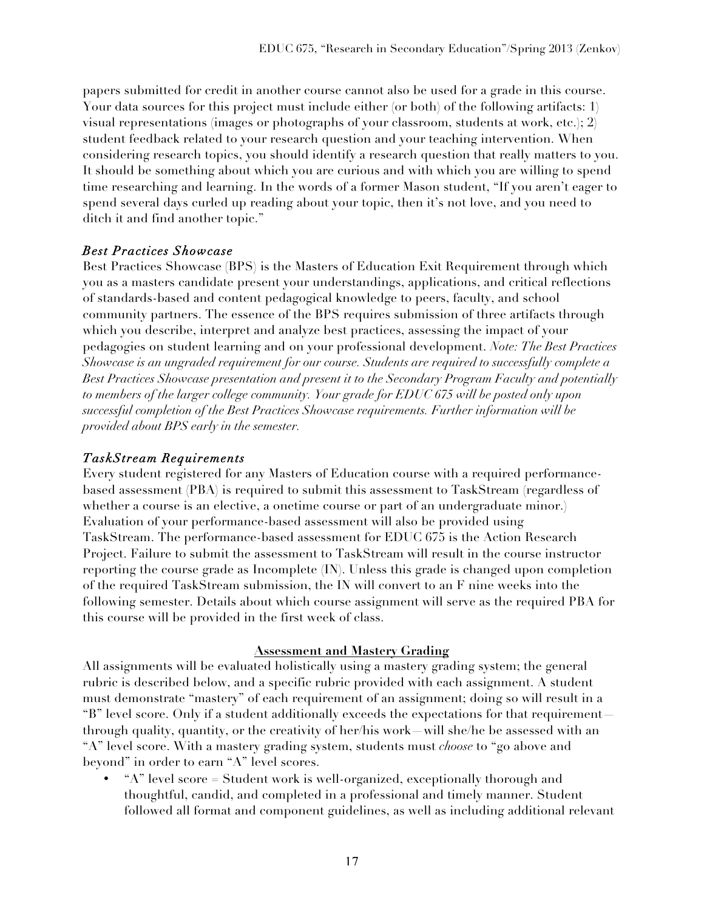papers submitted for credit in another course cannot also be used for a grade in this course. Your data sources for this project must include either (or both) of the following artifacts: 1) visual representations (images or photographs of your classroom, students at work, etc.); 2) student feedback related to your research question and your teaching intervention. When considering research topics, you should identify a research question that really matters to you. It should be something about which you are curious and with which you are willing to spend time researching and learning. In the words of a former Mason student, "If you aren't eager to spend several days curled up reading about your topic, then it's not love, and you need to ditch it and find another topic."

## *Best Practices Showcase*

Best Practices Showcase (BPS) is the Masters of Education Exit Requirement through which you as a masters candidate present your understandings, applications, and critical reflections of standards-based and content pedagogical knowledge to peers, faculty, and school community partners. The essence of the BPS requires submission of three artifacts through which you describe, interpret and analyze best practices, assessing the impact of your pedagogies on student learning and on your professional development. *Note: The Best Practices Showcase is an ungraded requirement for our course. Students are required to successfully complete a Best Practices Showcase presentation and present it to the Secondary Program Faculty and potentially to members of the larger college community. Your grade for EDUC 675 will be posted only upon successful completion of the Best Practices Showcase requirements. Further information will be provided about BPS early in the semester.* 

## *TaskStream Requirements*

Every student registered for any Masters of Education course with a required performancebased assessment (PBA) is required to submit this assessment to TaskStream (regardless of whether a course is an elective, a onetime course or part of an undergraduate minor.) Evaluation of your performance-based assessment will also be provided using TaskStream. The performance-based assessment for EDUC 675 is the Action Research Project. Failure to submit the assessment to TaskStream will result in the course instructor reporting the course grade as Incomplete (IN). Unless this grade is changed upon completion of the required TaskStream submission, the IN will convert to an F nine weeks into the following semester. Details about which course assignment will serve as the required PBA for this course will be provided in the first week of class.

## **Assessment and Mastery Grading**

All assignments will be evaluated holistically using a mastery grading system; the general rubric is described below, and a specific rubric provided with each assignment. A student must demonstrate "mastery" of each requirement of an assignment; doing so will result in a "B" level score. Only if a student additionally exceeds the expectations for that requirement through quality, quantity, or the creativity of her/his work—will she/he be assessed with an "A" level score. With a mastery grading system, students must *choose* to "go above and beyond" in order to earn "A" level scores.

• "A" level score = Student work is well-organized, exceptionally thorough and thoughtful, candid, and completed in a professional and timely manner. Student followed all format and component guidelines, as well as including additional relevant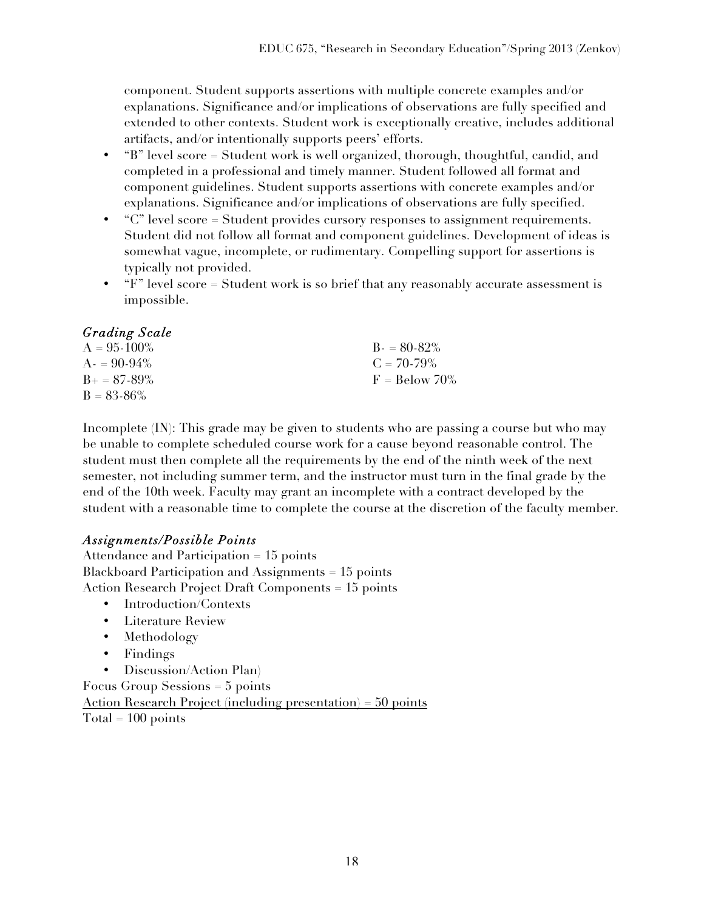component. Student supports assertions with multiple concrete examples and/or explanations. Significance and/or implications of observations are fully specified and extended to other contexts. Student work is exceptionally creative, includes additional artifacts, and/or intentionally supports peers' efforts.

- "B" level score = Student work is well organized, thorough, thoughtful, candid, and completed in a professional and timely manner. Student followed all format and component guidelines. Student supports assertions with concrete examples and/or explanations. Significance and/or implications of observations are fully specified.
- "C" level score = Student provides cursory responses to assignment requirements. Student did not follow all format and component guidelines. Development of ideas is somewhat vague, incomplete, or rudimentary. Compelling support for assertions is typically not provided.
- $F''$  level score = Student work is so brief that any reasonably accurate assessment is impossible.

## *Grading Scale*

| $A = 95-100\%$        | $B = 80-82\%$   |
|-----------------------|-----------------|
| $A = 90-94\%$         | $C = 70-79\%$   |
| $B_{\pm} = 87 - 89\%$ | $F =$ Below 70% |
| $B = 83 - 86\%$       |                 |

Incomplete (IN): This grade may be given to students who are passing a course but who may be unable to complete scheduled course work for a cause beyond reasonable control. The student must then complete all the requirements by the end of the ninth week of the next semester, not including summer term, and the instructor must turn in the final grade by the end of the 10th week. Faculty may grant an incomplete with a contract developed by the student with a reasonable time to complete the course at the discretion of the faculty member.

## *Assignments/Possible Points*

Attendance and Participation = 15 points Blackboard Participation and Assignments = 15 points Action Research Project Draft Components = 15 points

- Introduction/Contexts
- Literature Review
- Methodology
- Findings
- Discussion/Action Plan)

Focus Group Sessions = 5 points

Action Research Project (including presentation) = 50 points  $Total = 100 points$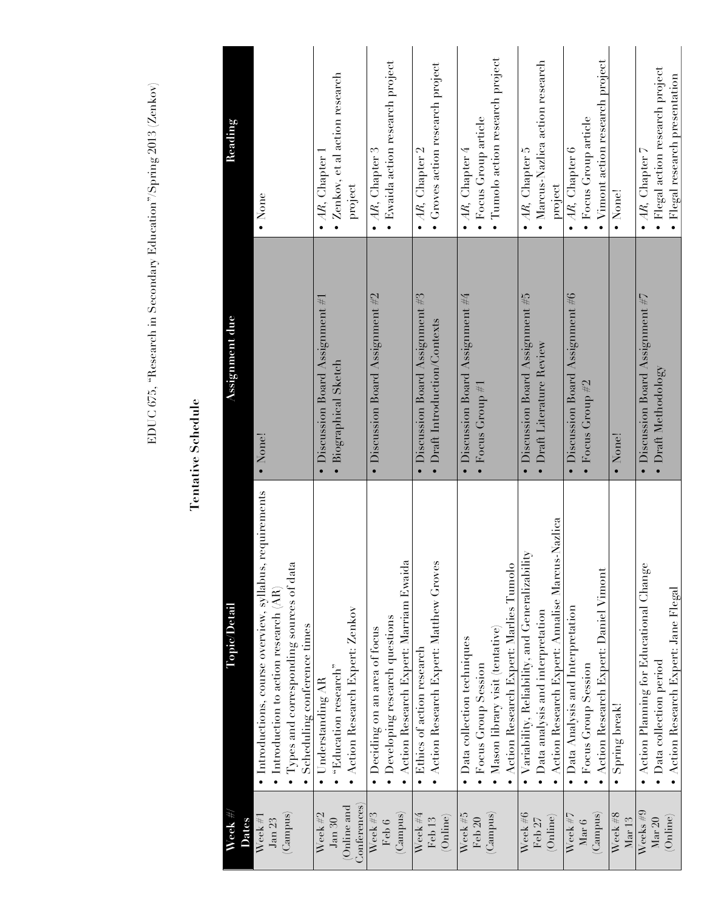EDUC 675, "Research in Secondary Education"/Spring 2013 (Zenkov) EDUC 675, "Research in Secondary Education"/Spring 2013 (Zenkov)

# **Tentative Schedule Tentative Schedule**

| Week $\#$ /                | Topic/Detail                                                | Assignment due                      | Reading                                  |
|----------------------------|-------------------------------------------------------------|-------------------------------------|------------------------------------------|
| Dates                      |                                                             |                                     |                                          |
| Week #1                    | requirements<br>• Introductions, course overview, syllabus, | • None!                             | $\bullet$ None                           |
| Jan23                      | • Introduction to action research (AR                       |                                     |                                          |
| (Lanpus)                   | Types and corresponding sources of data                     |                                     |                                          |
|                            | Scheduling conference times                                 |                                     |                                          |
| Week #2                    | Understanding AR<br>$\bullet$                               | • Discussion Board Assignment $#$   | • $AR$ , Chapter 1                       |
| J <sub>am</sub> 30         | $\bullet$ "Education research"                              | · Biographical Sketch               | · Zenkov, et al action research          |
| Conferences)<br>Online and | • Action Research Expert: Zenkov                            |                                     | project                                  |
| Week $#3$                  | $\bullet$ Deciding on an area of focus                      | • Discussion Board Assignment $\#2$ | $\bullet$ AR, Chapter 3                  |
| Feb 6                      | • Developing research questions                             |                                     | · Ewaida action research project         |
| (Canpus)                   | Action Research Expert: Marriam Ewaida                      |                                     |                                          |
| Week $\#4$                 | Ethics of action research                                   | • Discussion Board Assignment $\#3$ | $\bullet$ AR, Chapter 2                  |
| Feb <sub>13</sub>          | • Action Research Expert: Matthew Groves                    | • Draft Introduction/Contexts       | Groves action research project           |
| (Online)                   |                                                             |                                     |                                          |
| Week #5                    | • Data collection techniques                                | • Discussion Board Assignment $\#4$ | $\bullet$ AR, Chapter 4                  |
| Feb 20                     | Focus Group Session                                         | • Focus Group $#1$                  | · Focus Group article                    |
| (Campus)                   | • Mason library visit (tentative)                           |                                     | · Tumolo action research project         |
|                            | Action Research Expert: Marlies Tumolo                      |                                     |                                          |
| Week $#6$                  | $\bullet$ Variability, Reliability, and Generalizabili      | • Discussion Board Assignment $#5$  | $\bullet$ AR, Chapter 5                  |
| Feb <sub>27</sub>          | • Data analysis and interpretation                          | • Draft Literature Review           | · Marcus-Nazlica action research         |
| (Online)                   | • Action Research Expert: Annalise Marcus-Nazlica           |                                     | project                                  |
| Week $\#7$                 | • Data Analysis and Interpretation                          | • Discussion Board Assignment #6    | $\bullet$ AR, Chapter 6                  |
| Mar 6                      | · Focus Group Session                                       | $\bullet$ Focus Group #2            | · Focus Group article                    |
| (Campus)                   | • Action Research Expert: Daniel Vimont                     |                                     | • Vimont action research project         |
| Week #8<br>Mar13           | Spring break!                                               | · None!                             | • None!                                  |
|                            |                                                             |                                     |                                          |
| Weeks $#9$                 | • Action Planning for Educational Change                    | • Discussion Board Assignment $\#7$ | $\bullet$ AR, Chapter 7                  |
| Mar 20                     | • Data collection period                                    | $\bullet$ Draft Methodology         | $\bullet$ Flegal action research project |
| (Online)                   | • Action Research Expert: Jane Flegal                       |                                     | · Flegal research presentation           |